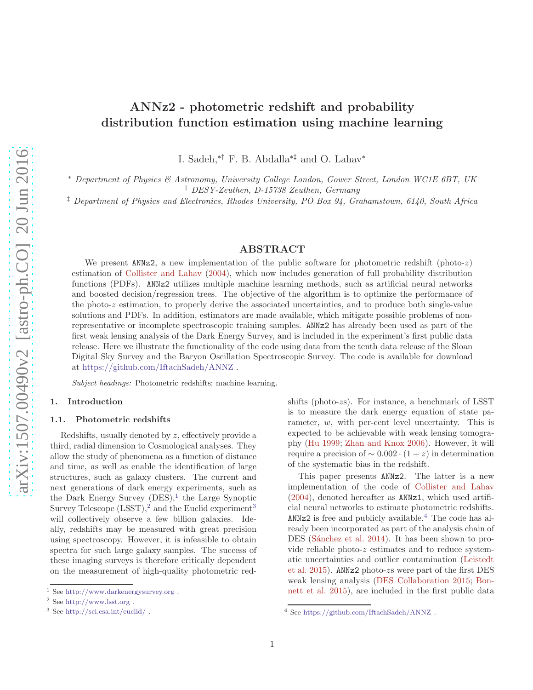# ANNz2 - photometric redshift and probability distribution function estimation using machine learning

I. Sadeh,∗† F. B. Abdalla∗‡ and O. Lahav<sup>∗</sup>

<sup>∗</sup> *Department of Physics & Astronomy, University College London, Gower Street, London WC1E 6BT, UK* † *DESY-Zeuthen, D-15738 Zeuthen, Germany*

‡ *Department of Physics and Electronics, Rhodes University, PO Box 94, Grahamstown, 6140, South Africa*

# ABSTRACT

We present  $ANNZ2$ , a new implementation of the public software for photometric redshift (photo-z) estimation of [Collister and Lahav](#page-17-0) [\(2004\)](#page-17-0), which now includes generation of full probability distribution functions (PDFs). ANNz2 utilizes multiple machine learning methods, such as artificial neural networks and boosted decision/regression trees. The objective of the algorithm is to optimize the performance of the photo-z estimation, to properly derive the associated uncertainties, and to produce both single-value solutions and PDFs. In addition, estimators are made available, which mitigate possible problems of nonrepresentative or incomplete spectroscopic training samples. ANNz2 has already been used as part of the first weak lensing analysis of the Dark Energy Survey, and is included in the experiment's first public data release. Here we illustrate the functionality of the code using data from the tenth data release of the Sloan Digital Sky Survey and the Baryon Oscillation Spectroscopic Survey. The code is available for download at <https://github.com/IftachSadeh/ANNZ> .

Subject headings: Photometric redshifts; machine learning.

# 1. Introduction

# 1.1. Photometric redshifts

Redshifts, usually denoted by z, effectively provide a third, radial dimension to Cosmological analyses. They allow the study of phenomena as a function of distance and time, as well as enable the identification of large structures, such as galaxy clusters. The current and next generations of dark energy experiments, such as the Dark Energy Survey  $(DES),<sup>1</sup>$  $(DES),<sup>1</sup>$  $(DES),<sup>1</sup>$  the Large Synoptic Survey Telescope  $(LSST)$ ,<sup>[2](#page-0-1)</sup> and the Euclid experiment<sup>[3](#page-0-2)</sup> will collectively observe a few billion galaxies. Ideally, redshifts may be measured with great precision using spectroscopy. However, it is infeasible to obtain spectra for such large galaxy samples. The success of these imaging surveys is therefore critically dependent on the measurement of high-quality photometric redshifts (photo-zs). For instance, a benchmark of LSST is to measure the dark energy equation of state parameter, w, with per-cent level uncertainty. This is expected to be achievable with weak lensing tomography [\(Hu 1999;](#page-17-1) [Zhan and Knox 2006](#page-17-2)). However, it will require a precision of  $\sim 0.002 \cdot (1 + z)$  in determination of the systematic bias in the redshift.

This paper presents ANNz2. The latter is a new implementation of the code of [Collister and Lahav](#page-17-0) [\(2004\)](#page-17-0), denoted hereafter as ANNz1, which used artificial neural networks to estimate photometric redshifts.  $ANNz2$  is free and publicly available.<sup>[4](#page-0-3)</sup> The code has already been incorporated as part of the analysis chain of DES (Sánchez et al. 2014). It has been shown to provide reliable photo-z estimates and to reduce systematic [uncertainties and outlier contamination \(](#page-17-4)Leistedt et al. [2015\)](#page-17-4). ANNz2 photo-zs were part of the first DES weak lens[ing analysis](#page-16-0) [\(DES Collaboration 2015](#page-17-5)[;](#page-16-0) Bonnett et al. [2015](#page-16-0)), are included in the first public data

<sup>1</sup> See <http://www.darkenergysurvey.org> .

<span id="page-0-0"></span><sup>2</sup> See <http://www.lsst.org> .

<span id="page-0-2"></span><span id="page-0-1"></span><sup>3</sup> See <http://sci.esa.int/euclid/> .

<span id="page-0-3"></span><sup>4</sup> See <https://github.com/IftachSadeh/ANNZ> .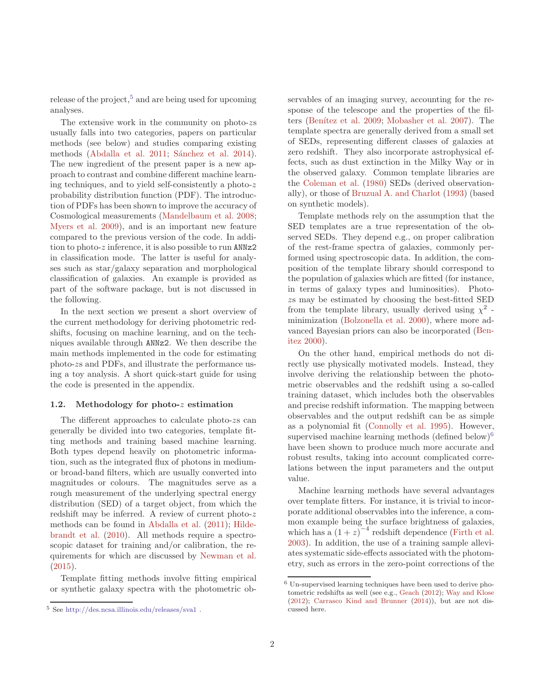release of the project, $5$  and are being used for upcoming analyses.

The extensive work in the community on photo-zs usually falls into two categories, papers on particular methods (see below) and studies comparing existing methods [\(Abdalla et al. 2011;](#page-16-1) Sánchez et al. 2014). The new ingredient of the present paper is a new approach to contrast and combine different machine learning techniques, and to yield self-consistently a photo-z probability distribution function (PDF). The introduction of PDFs has been shown to improve the accuracy of Cosmological measurements [\(Mandelbaum et al. 2008](#page-17-6); [Myers et al. 2009\)](#page-17-7), and is an important new feature compared to the previous version of the code. In addition to photo-z inference, it is also possible to run ANNz2 in classification mode. The latter is useful for analyses such as star/galaxy separation and morphological classification of galaxies. An example is provided as part of the software package, but is not discussed in the following.

In the next section we present a short overview of the current methodology for deriving photometric redshifts, focusing on machine learning, and on the techniques available through ANNz2. We then describe the main methods implemented in the code for estimating photo-zs and PDFs, and illustrate the performance using a toy analysis. A short quick-start guide for using the code is presented in the appendix.

## 1.2. Methodology for photo-z estimation

The different approaches to calculate photo-zs can generally be divided into two categories, template fitting methods and training based machine learning. Both types depend heavily on photometric information, such as the integrated flux of photons in mediumor broad-band filters, which are usually converted into magnitudes or colours. The magnitudes serve as a rough measurement of the underlying spectral energy distribution (SED) of a target object, from which the redshift may be inferred. A review of current photo-z methods can be found in [Abdalla et al.](#page-16-1) [\(2011](#page-16-1)); Hildebrandt et al. [\(2010](#page-17-8)). All methods require a spectroscopic dataset for training and/or calibration, the requirements for which are discussed by [Newman et al.](#page-17-9) [\(2015\)](#page-17-9).

Template fitting methods involve fitting empirical or synthetic galaxy spectra with the photometric observables of an imaging survey, accounting for the response of the telescope and the properties of the fil-ters (Benítez et al. 2009; [Mobasher et al. 2007\)](#page-17-10). The template spectra are generally derived from a small set of SEDs, representing different classes of galaxies at zero redshift. They also incorporate astrophysical effects, such as dust extinction in the Milky Way or in the observed galaxy. Common template libraries are the [Coleman et al.](#page-17-11) [\(1980\)](#page-17-11) SEDs (derived observationally), or those of [Bruzual A. and Charlot](#page-17-12) [\(1993](#page-17-12)) (based on synthetic models).

Template methods rely on the assumption that the SED templates are a true representation of the observed SEDs. They depend e.g., on proper calibration of the rest-frame spectra of galaxies, commonly performed using spectroscopic data. In addition, the composition of the template library should correspond to the population of galaxies which are fitted (for instance, in terms of galaxy types and luminosities). Photozs may be estimated by choosing the best-fitted SED from the template library, usually derived using  $\chi^2$ . minimization [\(Bolzonella et al. 2000\)](#page-16-3), where more advan[ced Bayesian priors can also be incorporated \(](#page-16-4)Benitez [2000\)](#page-16-4).

On the other hand, empirical methods do not directly use physically motivated models. Instead, they involve deriving the relationship between the photometric observables and the redshift using a so-called training dataset, which includes both the observables and precise redshift information. The mapping between observables and the output redshift can be as simple as a polynomial fit [\(Connolly et al. 1995](#page-17-13)). However, supervised machine learning methods (defined below) $6$ have been shown to produce much more accurate and robust results, taking into account complicated correlations between the input parameters and the output value.

Machine learning methods have several advantages over template fitters. For instance, it is trivial to incorporate additional observables into the inference, a common example being the surface brightness of galaxies, which has a  $(1+z)^{-4}$  redshift dependence [\(Firth et al.](#page-17-14) [2003\)](#page-17-14). In addition, the use of a training sample alleviates systematic side-effects associated with the photometry, such as errors in the zero-point corrections of the

<span id="page-1-0"></span><sup>5</sup> See <http://des.ncsa.illinois.edu/releases/sva1> .

<span id="page-1-1"></span><sup>6</sup> Un-supervised learning techniques have been used to derive photometric redshifts as well (see e.g., [Geach](#page-17-15) [\(2012](#page-17-15)); [Way and Klose](#page-17-16) [\(2012\)](#page-17-16); [Carrasco Kind and Brunner](#page-17-17) [\(2014](#page-17-17))), but are not discussed here.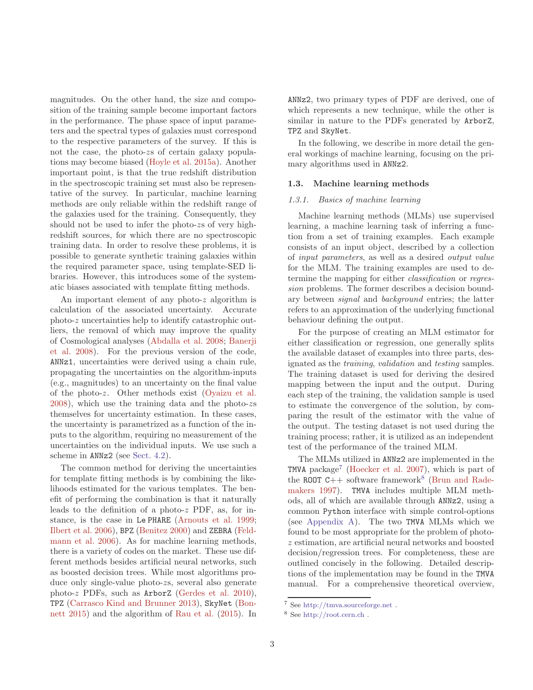magnitudes. On the other hand, the size and composition of the training sample become important factors in the performance. The phase space of input parameters and the spectral types of galaxies must correspond to the respective parameters of the survey. If this is not the case, the photo-zs of certain galaxy populations may become biased [\(Hoyle et al. 2015a](#page-17-18)). Another important point, is that the true redshift distribution in the spectroscopic training set must also be representative of the survey. In particular, machine learning methods are only reliable within the redshift range of the galaxies used for the training. Consequently, they should not be used to infer the photo-zs of very highredshift sources, for which there are no spectroscopic training data. In order to resolve these problems, it is possible to generate synthetic training galaxies within the required parameter space, using template-SED libraries. However, this introduces some of the systematic biases associated with template fitting methods.

An important element of any photo-z algorithm is calculation of the associated uncertainty. Accurate photo-z uncertainties help to identify catastrophic outliers, the removal of which may improve the quality of Co[smological analyses](#page-16-6) [\(Abdalla et al. 2008](#page-16-5)[;](#page-16-6) Banerji et al. [2008](#page-16-6)). For the previous version of the code, ANNz1, uncertainties were derived using a chain rule, propagating the uncertainties on the algorithm-inputs (e.g., magnitudes) to an uncertainty on the final value of the photo-z. Other methods exist [\(Oyaizu et al.](#page-17-19) [2008\)](#page-17-19), which use the training data and the photo-zs themselves for uncertainty estimation. In these cases, the uncertainty is parametrized as a function of the inputs to the algorithm, requiring no measurement of the uncertainties on the individual inputs. We use such a scheme in ANNz2 (see [Sect. 4.2\)](#page-8-0).

The common method for deriving the uncertainties for template fitting methods is by combining the likelihoods estimated for the various templates. The benefit of performing the combination is that it naturally leads to the definition of a photo-z PDF, as, for instance, is the case in Le PHARE [\(Arnouts et al. 1999](#page-16-7); [Ilbert et al. 2006\)](#page-17-20), BPZ [\(Benitez 2000](#page-16-4)[\) and](#page-17-21) ZEBRA (Feldmann et al. [2006\)](#page-17-21). As for machine learning methods, there is a variety of codes on the market. These use different methods besides artificial neural networks, such as boosted decision trees. While most algorithms produce only single-value photo-zs, several also generate photo-z PDFs, such as ArborZ [\(Gerdes et al. 2010](#page-17-22)), TPZ [\(Carrasco Kind and Brunner 2013](#page-17-23)[\),](#page-16-8) SkyNet (Bonnett [2015](#page-16-8)) and the algorithm of [Rau et al.](#page-17-24) [\(2015](#page-17-24)). In

ANNz2, two primary types of PDF are derived, one of which represents a new technique, while the other is similar in nature to the PDFs generated by ArborZ, TPZ and SkyNet.

In the following, we describe in more detail the general workings of machine learning, focusing on the primary algorithms used in ANNz2.

# 1.3. Machine learning methods

# *1.3.1. Basics of machine learning*

Machine learning methods (MLMs) use supervised learning, a machine learning task of inferring a function from a set of training examples. Each example consists of an input object, described by a collection of *input parameters*, as well as a desired *output value* for the MLM. The training examples are used to determine the mapping for either *classification* or *regression* problems. The former describes a decision boundary between *signal* and *background* entries; the latter refers to an approximation of the underlying functional behaviour defining the output.

For the purpose of creating an MLM estimator for either classification or regression, one generally splits the available dataset of examples into three parts, designated as the *training*, *validation* and *testing* samples. The training dataset is used for deriving the desired mapping between the input and the output. During each step of the training, the validation sample is used to estimate the convergence of the solution, by comparing the result of the estimator with the value of the output. The testing dataset is not used during the training process; rather, it is utilized as an independent test of the performance of the trained MLM.

The MLMs utilized in ANNz2 are implemented in the TMVA package<sup>[7](#page-2-0)</sup> [\(Hoecker et al. 2007](#page-17-25)), which is part of the ROOT  $C_{++}$  software framework<sup>[8](#page-2-1)</sup> (Brun and Rademakers [1997\)](#page-17-26). TMVA includes multiple MLM methods, all of which are available through ANNz2, using a common Python interface with simple control-options (see [Appendix A\)](#page-18-0). The two TMVA MLMs which we found to be most appropriate for the problem of photoz estimation, are artificial neural networks and boosted decision/regression trees. For completeness, these are outlined concisely in the following. Detailed descriptions of the implementation may be found in the TMVA manual. For a comprehensive theoretical overview,

<sup>7</sup> See <http://tmva.sourceforge.net> .

<span id="page-2-1"></span><span id="page-2-0"></span><sup>8</sup> See <http://root.cern.ch> .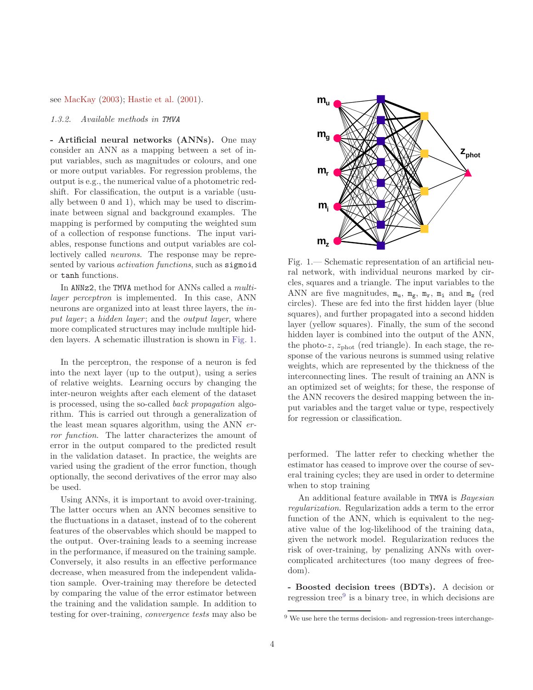see [MacKay](#page-17-27) [\(2003](#page-17-27)); [Hastie et al.](#page-17-28) [\(2001](#page-17-28)).

# *1.3.2. Available methods in* TMVA

- Artificial neural networks (ANNs). One may consider an ANN as a mapping between a set of input variables, such as magnitudes or colours, and one or more output variables. For regression problems, the output is e.g., the numerical value of a photometric redshift. For classification, the output is a variable (usually between 0 and 1), which may be used to discriminate between signal and background examples. The mapping is performed by computing the weighted sum of a collection of response functions. The input variables, response functions and output variables are collectively called *neurons*. The response may be represented by various *activation functions*, such as sigmoid or tanh functions.

In ANNz2, the TMVA method for ANNs called a *multilayer perceptron* is implemented. In this case, ANN neurons are organized into at least three layers, the *input layer* ; a *hidden layer* ; and the *output layer*, where more complicated structures may include multiple hidden layers. A schematic illustration is shown in [Fig. 1.](#page-3-0)

In the perceptron, the response of a neuron is fed into the next layer (up to the output), using a series of relative weights. Learning occurs by changing the inter-neuron weights after each element of the dataset is processed, using the so-called *back propagation* algorithm. This is carried out through a generalization of the least mean squares algorithm, using the ANN *error function*. The latter characterizes the amount of error in the output compared to the predicted result in the validation dataset. In practice, the weights are varied using the gradient of the error function, though optionally, the second derivatives of the error may also be used.

Using ANNs, it is important to avoid over-training. The latter occurs when an ANN becomes sensitive to the fluctuations in a dataset, instead of to the coherent features of the observables which should be mapped to the output. Over-training leads to a seeming increase in the performance, if measured on the training sample. Conversely, it also results in an effective performance decrease, when measured from the independent validation sample. Over-training may therefore be detected by comparing the value of the error estimator between the training and the validation sample. In addition to testing for over-training, *convergence tests* may also be



<span id="page-3-0"></span>Fig. 1.— Schematic representation of an artificial neural network, with individual neurons marked by circles, squares and a triangle. The input variables to the ANN are five magnitudes,  $m_u$ ,  $m_g$ ,  $m_r$ ,  $m_i$  and  $m_z$  (red circles). These are fed into the first hidden layer (blue squares), and further propagated into a second hidden layer (yellow squares). Finally, the sum of the second hidden layer is combined into the output of the ANN, the photo-z,  $z_{phot}$  (red triangle). In each stage, the response of the various neurons is summed using relative weights, which are represented by the thickness of the interconnecting lines. The result of training an ANN is an optimized set of weights; for these, the response of the ANN recovers the desired mapping between the input variables and the target value or type, respectively for regression or classification.

performed. The latter refer to checking whether the estimator has ceased to improve over the course of several training cycles; they are used in order to determine when to stop training

An additional feature available in TMVA is *Bayesian regularization*. Regularization adds a term to the error function of the ANN, which is equivalent to the negative value of the log-likelihood of the training data, given the network model. Regularization reduces the risk of over-training, by penalizing ANNs with overcomplicated architectures (too many degrees of freedom).

- Boosted decision trees (BDTs). A decision or regression tree<sup>[9](#page-3-1)</sup> is a binary tree, in which decisions are

<span id="page-3-1"></span><sup>&</sup>lt;sup>9</sup> We use here the terms decision- and regression-trees interchange-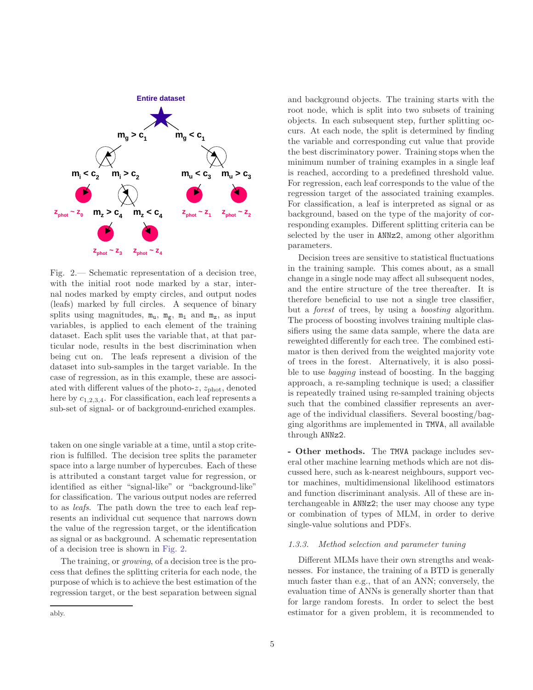

<span id="page-4-0"></span>Fig. 2.— Schematic representation of a decision tree, with the initial root node marked by a star, internal nodes marked by empty circles, and output nodes (leafs) marked by full circles. A sequence of binary splits using magnitudes,  $m_u$ ,  $m_g$ ,  $m_i$  and  $m_z$ , as input variables, is applied to each element of the training dataset. Each split uses the variable that, at that particular node, results in the best discrimination when being cut on. The leafs represent a division of the dataset into sub-samples in the target variable. In the case of regression, as in this example, these are associated with different values of the photo- $z$ ,  $z_{phot}$ , denoted here by  $c_{1,2,3,4}$ . For classification, each leaf represents a sub-set of signal- or of background-enriched examples.

taken on one single variable at a time, until a stop criterion is fulfilled. The decision tree splits the parameter space into a large number of hypercubes. Each of these is attributed a constant target value for regression, or identified as either "signal-like" or "background-like" for classification. The various output nodes are referred to as *leafs*. The path down the tree to each leaf represents an individual cut sequence that narrows down the value of the regression target, or the identification as signal or as background. A schematic representation of a decision tree is shown in [Fig. 2.](#page-4-0)

The training, or *growing*, of a decision tree is the process that defines the splitting criteria for each node, the purpose of which is to achieve the best estimation of the regression target, or the best separation between signal

and background objects. The training starts with the root node, which is split into two subsets of training objects. In each subsequent step, further splitting occurs. At each node, the split is determined by finding the variable and corresponding cut value that provide the best discriminatory power. Training stops when the minimum number of training examples in a single leaf is reached, according to a predefined threshold value. For regression, each leaf corresponds to the value of the regression target of the associated training examples. For classification, a leaf is interpreted as signal or as background, based on the type of the majority of corresponding examples. Different splitting criteria can be selected by the user in ANNz2, among other algorithm parameters.

Decision trees are sensitive to statistical fluctuations in the training sample. This comes about, as a small change in a single node may affect all subsequent nodes, and the entire structure of the tree thereafter. It is therefore beneficial to use not a single tree classifier, but a *forest* of trees, by using a *boosting* algorithm. The process of boosting involves training multiple classifiers using the same data sample, where the data are reweighted differently for each tree. The combined estimator is then derived from the weighted majority vote of trees in the forest. Alternatively, it is also possible to use *bagging* instead of boosting. In the bagging approach, a re-sampling technique is used; a classifier is repeatedly trained using re-sampled training objects such that the combined classifier represents an average of the individual classifiers. Several boosting/bagging algorithms are implemented in TMVA, all available through ANNz2.

- Other methods. The TMVA package includes several other machine learning methods which are not discussed here, such as k-nearest neighbours, support vector machines, multidimensional likelihood estimators and function discriminant analysis. All of these are interchangeable in ANNz2; the user may choose any type or combination of types of MLM, in order to derive single-value solutions and PDFs.

## *1.3.3. Method selection and parameter tuning*

Different MLMs have their own strengths and weaknesses. For instance, the training of a BTD is generally much faster than e.g., that of an ANN; conversely, the evaluation time of ANNs is generally shorter than that for large random forests. In order to select the best estimator for a given problem, it is recommended to

ably.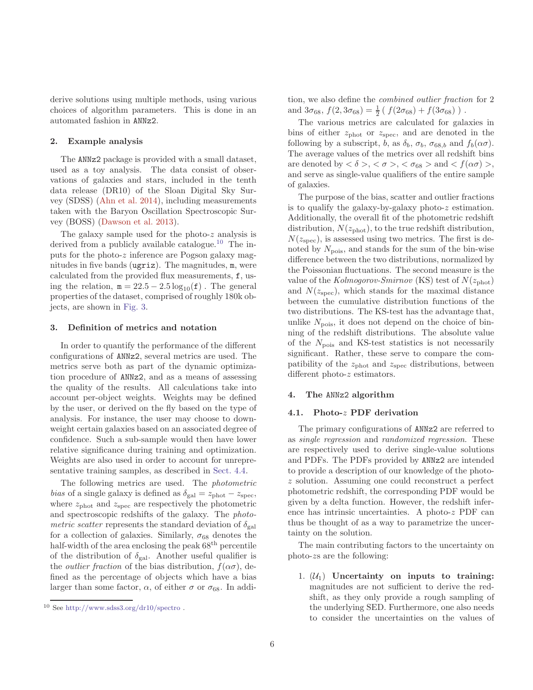derive solutions using multiple methods, using various choices of algorithm parameters. This is done in an automated fashion in ANNz2.

## 2. Example analysis

The ANNz2 package is provided with a small dataset, used as a toy analysis. The data consist of observations of galaxies and stars, included in the tenth data release (DR10) of the Sloan Digital Sky Survey (SDSS) [\(Ahn et al. 2014\)](#page-16-9), including measurements taken with the Baryon Oscillation Spectroscopic Survey (BOSS) [\(Dawson et al. 2013](#page-17-29)).

The galaxy sample used for the photo- $z$  analysis is derived from a publicly available catalogue.<sup>[10](#page-5-0)</sup> The inputs for the photo-z inference are Pogson galaxy magnitudes in five bands (ugriz). The magnitudes, m, were calculated from the provided flux measurements, f, using the relation,  $m = 22.5 - 2.5 \log_{10}(f)$ . The general properties of the dataset, comprised of roughly 180k objects, are shown in [Fig. 3.](#page-6-0)

#### 3. Definition of metrics and notation

In order to quantify the performance of the different configurations of ANNz2, several metrics are used. The metrics serve both as part of the dynamic optimization procedure of ANNz2, and as a means of assessing the quality of the results. All calculations take into account per-object weights. Weights may be defined by the user, or derived on the fly based on the type of analysis. For instance, the user may choose to downweight certain galaxies based on an associated degree of confidence. Such a sub-sample would then have lower relative significance during training and optimization. Weights are also used in order to account for unrepresentative training samples, as described in [Sect. 4.4.](#page-12-0)

The following metrics are used. The *photometric bias* of a single galaxy is defined as  $\delta_{gal} = z_{phot} - z_{spec}$ , where  $z_{\text{phot}}$  and  $z_{\text{spec}}$  are respectively the photometric and spectroscopic redshifts of the galaxy. The *photometric scatter* represents the standard deviation of  $\delta_{\text{gal}}$ for a collection of galaxies. Similarly,  $\sigma_{68}$  denotes the half-width of the area enclosing the peak  $68<sup>th</sup>$  percentile of the distribution of  $\delta_{gal}$ . Another useful qualifier is the *outlier fraction* of the bias distribution,  $f(\alpha \sigma)$ , defined as the percentage of objects which have a bias larger than some factor,  $\alpha$ , of either  $\sigma$  or  $\sigma_{68}$ . In addition, we also define the *combined outlier fraction* for 2 and  $3\sigma_{68}$ ,  $f(2, 3\sigma_{68}) = \frac{1}{2} (f(2\sigma_{68}) + f(3\sigma_{68}))$ .

The various metrics are calculated for galaxies in bins of either  $z_{\text{phot}}$  or  $z_{\text{spec}}$ , and are denoted in the following by a subscript, b, as  $\delta_b$ ,  $\sigma_b$ ,  $\sigma_{68,b}$  and  $f_b(\alpha\sigma)$ . The average values of the metrics over all redshift bins are denoted by  $\langle \delta \rangle$ ,  $\langle \sigma \rangle$ ,  $\langle \sigma_{68} \rangle$  and  $\langle f(\alpha \sigma) \rangle$ , and serve as single-value qualifiers of the entire sample of galaxies.

The purpose of the bias, scatter and outlier fractions is to qualify the galaxy-by-galaxy photo- $z$  estimation. Additionally, the overall fit of the photometric redshift distribution,  $N(z_{phot})$ , to the true redshift distribution,  $N(z<sub>spec</sub>)$ , is assessed using two metrics. The first is denoted by  $N_{\text{pois}}$ , and stands for the sum of the bin-wise difference between the two distributions, normalized by the Poissonian fluctuations. The second measure is the value of the *Kolmogorov-Smirnov* (KS) test of  $N(z_{phot})$ and  $N(z<sub>spec</sub>)$ , which stands for the maximal distance between the cumulative distribution functions of the two distributions. The KS-test has the advantage that, unlike  $N_{\text{pois}}$ , it does not depend on the choice of binning of the redshift distributions. The absolute value of the  $N_{\text{pois}}$  and KS-test statistics is not necessarily significant. Rather, these serve to compare the compatibility of the  $z_{\text{phot}}$  and  $z_{\text{spec}}$  distributions, between different photo-z estimators.

#### 4. The ANNz2 algorithm

# 4.1. Photo-z PDF derivation

The primary configurations of ANNz2 are referred to as *single regression* and *randomized regression*. These are respectively used to derive single-value solutions and PDFs. The PDFs provided by ANNz2 are intended to provide a description of our knowledge of the photoz solution. Assuming one could reconstruct a perfect photometric redshift, the corresponding PDF would be given by a delta function. However, the redshift inference has intrinsic uncertainties. A photo-z PDF can thus be thought of as a way to parametrize the uncertainty on the solution.

The main contributing factors to the uncertainty on photo-zs are the following:

1.  $(\mathcal{U}_1)$  Uncertainty on inputs to training: magnitudes are not sufficient to derive the redshift, as they only provide a rough sampling of the underlying SED. Furthermore, one also needs to consider the uncertainties on the values of

<span id="page-5-0"></span> $10$  See [http://www.sdss3.org/dr10/spectro](http://www.sdss3.org/dr10/spectro/spectro_access.php).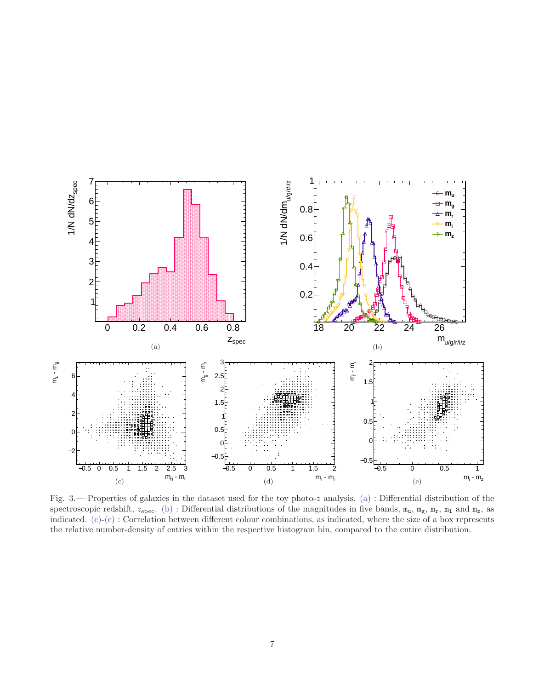<span id="page-6-2"></span><span id="page-6-1"></span>

<span id="page-6-4"></span><span id="page-6-3"></span><span id="page-6-0"></span>Fig. 3.— Properties of galaxies in the dataset used for the toy photo-z analysis. [\(a\)](#page-6-1) : Differential distribution of the spectroscopic redshift,  $z_{\text{spec}}$ . [\(b\)](#page-6-2) : Differential distributions of the magnitudes in five bands,  $m_u$ ,  $m_g$ ,  $m_r$ ,  $m_i$  and  $m_z$ , as indicated. [\(c\)-](#page-6-3)[\(e\)](#page-6-4) : Correlation between different colour combinations, as indicated, where the size of a box represents the relative number-density of entries within the respective histogram bin, compared to the entire distribution.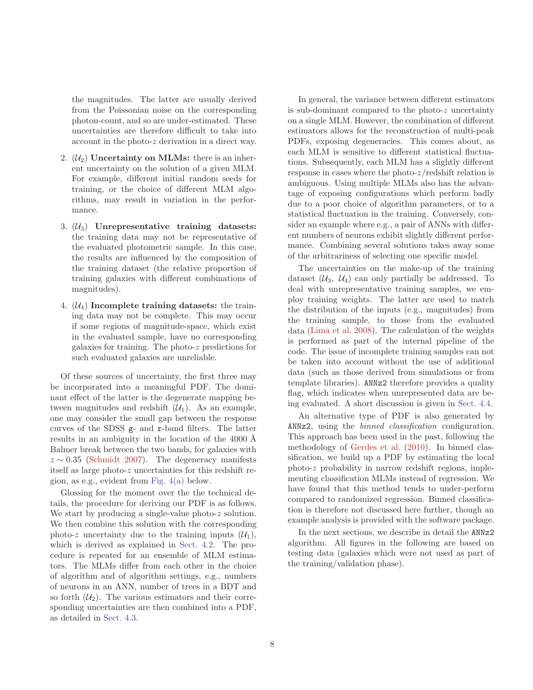the magnitudes. The latter are usually derived from the Poissonian noise on the corresponding photon-count, and so are under-estimated. These uncertainties are therefore difficult to take into account in the photo-z derivation in a direct way.

- 2.  $(\mathcal{U}_2)$  Uncertainty on MLMs: there is an inherent uncertainty on the solution of a given MLM. For example, different initial random seeds for training, or the choice of different MLM algorithms, may result in variation in the performance.
- 3.  $(\mathcal{U}_3)$  Unrepresentative training datasets: the training data may not be representative of the evaluated photometric sample. In this case, the results are influenced by the composition of the training dataset (the relative proportion of training galaxies with different combinations of magnitudes).
- 4.  $(\mathcal{U}_4)$  Incomplete training datasets: the training data may not be complete. This may occur if some regions of magnitude-space, which exist in the evaluated sample, have no corresponding galaxies for training. The photo-z predictions for such evaluated galaxies are unreliable.

Of these sources of uncertainty, the first three may be incorporated into a meaningful PDF. The dominant effect of the latter is the degenerate mapping between magnitudes and redshift  $(\mathcal{U}_1)$ . As an example, one may consider the small gap between the response curves of the SDSS g- and r-band filters. The latter results in an ambiguity in the location of the 4000 Å Balmer break between the two bands, for galaxies with  $z \sim 0.35$  [\(Schmidt 2007](#page-17-30)). The degeneracy manifests itself as large photo-z uncertainties for this redshift region, as e.g., evident from [Fig. 4\(a\)](#page-9-0) below.

Glossing for the moment over the the technical details, the procedure for deriving our PDF is as follows. We start by producing a single-value photo-z solution. We then combine this solution with the corresponding photo-z uncertainty due to the training inputs  $(\mathcal{U}_1)$ , which is derived as explained in [Sect. 4.2.](#page-8-0) The procedure is repeated for an ensemble of MLM estimators. The MLMs differ from each other in the choice of algorithm and of algorithm settings, e.g., numbers of neurons in an ANN, number of trees in a BDT and so forth  $(\mathcal{U}_2)$ . The various estimators and their corresponding uncertainties are then combined into a PDF, as detailed in [Sect. 4.3.](#page-9-1)

In general, the variance between different estimators is sub-dominant compared to the photo-z uncertainty on a single MLM. However, the combination of different estimators allows for the reconstruction of multi-peak PDFs, exposing degeneracies. This comes about, as each MLM is sensitive to different statistical fluctuations. Subsequently, each MLM has a slightly different response in cases where the photo-z/redshift relation is ambiguous. Using multiple MLMs also has the advantage of exposing configurations which perform badly due to a poor choice of algorithm parameters, or to a statistical fluctuation in the training. Conversely, consider an example where e.g., a pair of ANNs with different numbers of neurons exhibit slightly different performance. Combining several solutions takes away some of the arbitrariness of selecting one specific model.

The uncertainties on the make-up of the training dataset  $(\mathcal{U}_3, \mathcal{U}_4)$  can only partially be addressed. To deal with unrepresentative training samples, we employ training weights. The latter are used to match the distribution of the inputs (e.g., magnitudes) from the training sample, to those from the evaluated data [\(Lima et al. 2008](#page-17-31)). The calculation of the weights is performed as part of the internal pipeline of the code. The issue of incomplete training samples can not be taken into account without the use of additional data (such as those derived from simulations or from template libraries). ANNz2 therefore provides a quality flag, which indicates when unrepresented data are being evaluated. A short discussion is given in [Sect. 4.4.](#page-12-0)

An alternative type of PDF is also generated by ANNz2, using the *binned classification* configuration. This approach has been used in the past, following the methodology of [Gerdes et al.](#page-17-22) [\(2010](#page-17-22)). In binned classification, we build up a PDF by estimating the local photo-z probability in narrow redshift regions, implementing classification MLMs instead of regression. We have found that this method tends to under-perform compared to randomized regression. Binned classification is therefore not discussed here further, though an example analysis is provided with the software package.

In the next sections, we describe in detail the ANNz2 algorithm. All figures in the following are based on testing data (galaxies which were not used as part of the training/validation phase).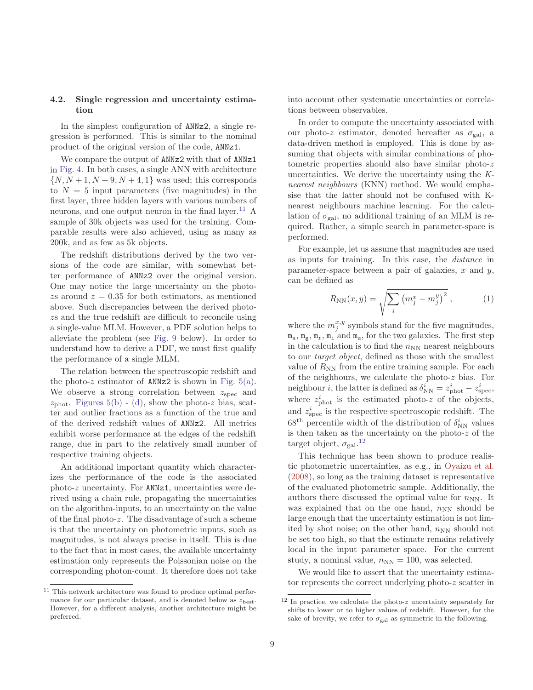# <span id="page-8-0"></span>4.2. Single regression and uncertainty estimation

In the simplest configuration of ANNz2, a single regression is performed. This is similar to the nominal product of the original version of the code, ANNz1.

We compare the output of ANNz2 with that of ANNz1 in [Fig. 4.](#page-9-2) In both cases, a single ANN with architecture  $\{N, N+1, N+9, N+4, 1\}$  was used; this corresponds to  $N = 5$  input parameters (five magnitudes) in the first layer, three hidden layers with various numbers of neurons, and one output neuron in the final layer.<sup>[11](#page-8-1)</sup> A sample of 30k objects was used for the training. Comparable results were also achieved, using as many as 200k, and as few as 5k objects.

The redshift distributions derived by the two versions of the code are similar, with somewhat better performance of ANNz2 over the original version. One may notice the large uncertainty on the photozs around  $z = 0.35$  for both estimators, as mentioned above. Such discrepancies between the derived photozs and the true redshift are difficult to reconcile using a single-value MLM. However, a PDF solution helps to alleviate the problem (see [Fig. 9](#page-14-0) below). In order to understand how to derive a PDF, we must first qualify the performance of a single MLM.

The relation between the spectroscopic redshift and the photo-z estimator of ANNz2 is shown in Fig.  $5(a)$ . We observe a strong correlation between  $z_{\text{spec}}$  and  $z_{\text{phot}}$ . [Figures 5\(b\)](#page-10-1) - [\(d\),](#page-10-2) show the photo-z bias, scatter and outlier fractions as a function of the true and of the derived redshift values of ANNz2. All metrics exhibit worse performance at the edges of the redshift range, due in part to the relatively small number of respective training objects.

An additional important quantity which characterizes the performance of the code is the associated photo-z uncertainty. For ANNz1, uncertainties were derived using a chain rule, propagating the uncertainties on the algorithm-inputs, to an uncertainty on the value of the final photo-z. The disadvantage of such a scheme is that the uncertainty on photometric inputs, such as magnitudes, is not always precise in itself. This is due to the fact that in most cases, the available uncertainty estimation only represents the Poissonian noise on the corresponding photon-count. It therefore does not take

into account other systematic uncertainties or correlations between observables.

In order to compute the uncertainty associated with our photo-z estimator, denoted hereafter as  $\sigma_{gal}$ , a data-driven method is employed. This is done by assuming that objects with similar combinations of photometric properties should also have similar photo-z uncertainties. We derive the uncertainty using the *Knearest neighbours* (KNN) method. We would emphasise that the latter should not be confused with Knearest neighbours machine learning. For the calculation of  $\sigma_{\text{gal}}$ , no additional training of an MLM is required. Rather, a simple search in parameter-space is performed.

For example, let us assume that magnitudes are used as inputs for training. In this case, the *distance* in parameter-space between a pair of galaxies,  $x$  and  $y$ , can be defined as

<span id="page-8-3"></span>
$$
R_{NN}(x,y) = \sqrt{\sum_{j} (m_j^x - m_j^y)^2}, \qquad (1)
$$

where the  $m_j^{x,y}$  symbols stand for the five magnitudes,  $m_u$ ,  $m_g$ ,  $m_r$ ,  $m_i$  and  $m_z$ , for the two galaxies. The first step in the calculation is to find the  $n_{NN}$  nearest neighbours to our *target object*, defined as those with the smallest value of  $R_{NN}$  from the entire training sample. For each of the neighbours, we calculate the photo-z bias. For neighbour *i*, the latter is defined as  $\delta_{\text{NN}}^i = z_{\text{phot}}^i - z_{\text{spec}}^i$ , where  $z_{\text{phot}}^i$  is the estimated photo-z of the objects, and  $z_{\rm spec}^i$  is the respective spectroscopic redshift. The 68<sup>th</sup> percentile width of the distribution of  $\delta_{\rm NN}^i$  values is then taken as the uncertainty on the photo- $z$  of the target object,  $\sigma_{gal}.^{12}$  $\sigma_{gal}.^{12}$  $\sigma_{gal}.^{12}$ 

This technique has been shown to produce realistic photometric uncertainties, as e.g., in [Oyaizu et al.](#page-17-19) [\(2008\)](#page-17-19), so long as the training dataset is representative of the evaluated photometric sample. Additionally, the authors there discussed the optimal value for  $n_{NN}$ . It was explained that on the one hand,  $n_{NN}$  should be large enough that the uncertainty estimation is not limited by shot noise; on the other hand,  $n_{NN}$  should not be set too high, so that the estimate remains relatively local in the input parameter space. For the current study, a nominal value,  $n_{NN} = 100$ , was selected.

We would like to assert that the uncertainty estimator represents the correct underlying photo-z scatter in

<span id="page-8-1"></span> $11$  This network architecture was found to produce optimal performance for our particular dataset, and is denoted below as  $z_{\text{best}}$ . However, for a different analysis, another architecture might be preferred.

<span id="page-8-2"></span> $^{12}$  In practice, we calculate the photo-z uncertainty separately for shifts to lower or to higher values of redshift. However, for the sake of brevity, we refer to  $\sigma_{gal}$  as symmetric in the following.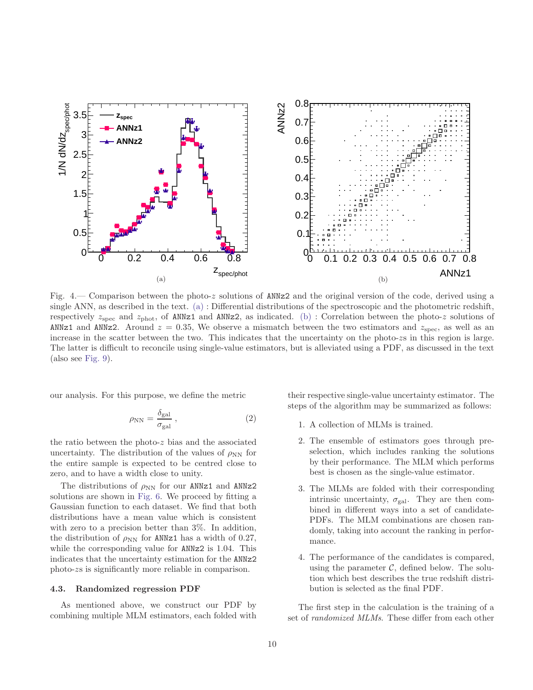<span id="page-9-3"></span><span id="page-9-0"></span>

<span id="page-9-2"></span>Fig. 4.— Comparison between the photo-z solutions of ANNz2 and the original version of the code, derived using a single ANN, as described in the text. [\(a\)](#page-9-0) : Differential distributions of the spectroscopic and the photometric redshift, respectively  $z_{\rm spec}$  and  $z_{\rm phot}$ , of ANNz1 and ANNz2, as indicated. [\(b\)](#page-9-3) : Correlation between the photo-z solutions of ANNz1 and ANNz2. Around  $z = 0.35$ , We observe a mismatch between the two estimators and  $z_{\rm spec}$ , as well as an increase in the scatter between the two. This indicates that the uncertainty on the photo-zs in this region is large. The latter is difficult to reconcile using single-value estimators, but is alleviated using a PDF, as discussed in the text (also see [Fig. 9\)](#page-14-0).

our analysis. For this purpose, we define the metric

$$
\rho_{\rm NN} = \frac{\delta_{\rm gal}}{\sigma_{\rm gal}} \,, \tag{2}
$$

the ratio between the photo-z bias and the associated uncertainty. The distribution of the values of  $\rho_{NN}$  for the entire sample is expected to be centred close to zero, and to have a width close to unity.

The distributions of  $\rho_{NN}$  for our ANNz1 and ANNz2 solutions are shown in [Fig. 6.](#page-11-0) We proceed by fitting a Gaussian function to each dataset. We find that both distributions have a mean value which is consistent with zero to a precision better than 3%. In addition, the distribution of  $\rho_{NN}$  for ANNz1 has a width of 0.27, while the corresponding value for **ANNz2** is 1.04. This indicates that the uncertainty estimation for the ANNz2 photo-zs is significantly more reliable in comparison.

## <span id="page-9-1"></span>4.3. Randomized regression PDF

As mentioned above, we construct our PDF by combining multiple MLM estimators, each folded with <span id="page-9-4"></span>their respective single-value uncertainty estimator. The steps of the algorithm may be summarized as follows:

- 1. A collection of MLMs is trained.
- 2. The ensemble of estimators goes through preselection, which includes ranking the solutions by their performance. The MLM which performs best is chosen as the single-value estimator.
- 3. The MLMs are folded with their corresponding intrinsic uncertainty,  $\sigma_{gal}$ . They are then combined in different ways into a set of candidate-PDFs. The MLM combinations are chosen randomly, taking into account the ranking in performance.
- 4. The performance of the candidates is compared, using the parameter  $\mathcal{C}$ , defined below. The solution which best describes the true redshift distribution is selected as the final PDF.

The first step in the calculation is the training of a set of *randomized MLMs*. These differ from each other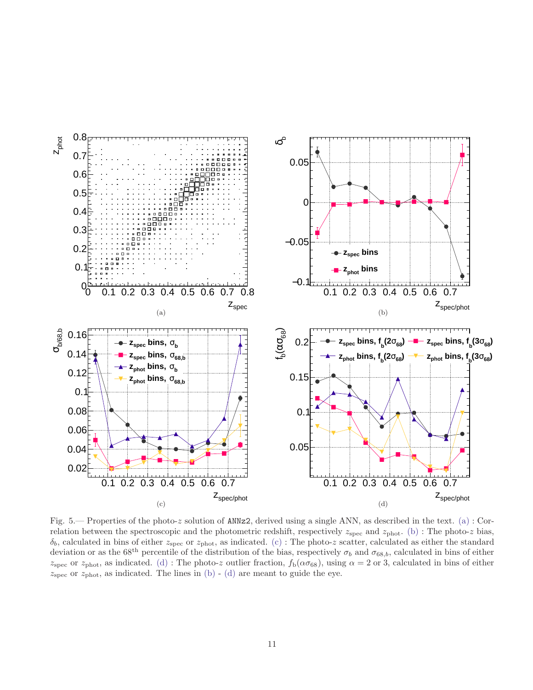<span id="page-10-3"></span><span id="page-10-2"></span><span id="page-10-1"></span><span id="page-10-0"></span>

<span id="page-10-4"></span>Fig. 5.— Properties of the photo-z solution of ANNz2, derived using a single ANN, as described in the text. [\(a\)](#page-10-0): Correlation between the spectroscopic and the photometric redshift, respectively  $z_{\rm spec}$  and  $z_{\rm phot.}$  [\(b\)](#page-10-1) : The photo-z bias,  $\delta_b$ , calculated in bins of either  $z_{\rm spec}$  or  $z_{\rm phot}$ , as indicated. [\(c\)](#page-10-3): The photo-z scatter, calculated as either the standard deviation or as the 68<sup>th</sup> percentile of the distribution of the bias, respectively  $\sigma_b$  and  $\sigma_{68,b}$ , calculated in bins of either  $z_{\rm spec}$  or  $z_{\rm phot}$ , as indicated. [\(d\)](#page-10-2) : The photo-z outlier fraction,  $f_{\rm b}(\alpha\sigma_{68})$ , using  $\alpha = 2$  or 3, calculated in bins of either  $z<sub>spec</sub>$  or  $z<sub>phot</sub>$ , as indicated. The lines in [\(b\)](#page-10-1) - [\(d\)](#page-10-2) are meant to guide the eye.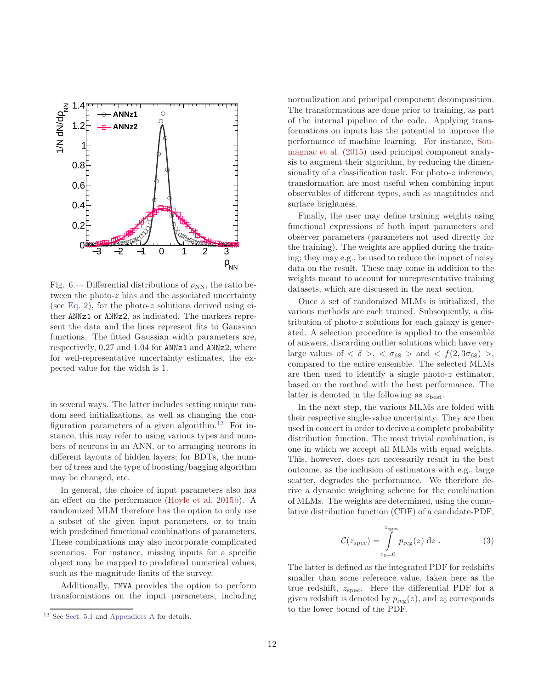

<span id="page-11-0"></span>Fig. 6.— Differential distributions of  $\rho_{NN}$ , the ratio between the photo-z bias and the associated uncertainty (see [Eq. 2\)](#page-9-4), for the photo-z solutions derived using either ANNz1 or ANNz2, as indicated. The markers represent the data and the lines represent fits to Gaussian functions. The fitted Gaussian width parameters are, respectively, 0.27 and 1.04 for ANNz1 and ANNz2, where for well-representative uncertainty estimates, the expected value for the width is 1.

in several ways. The latter includes setting unique random seed initializations, as well as changing the con-figuration parameters of a given algorithm.<sup>[13](#page-11-1)</sup> For instance, this may refer to using various types and numbers of neurons in an ANN, or to arranging neurons in different layouts of hidden layers; for BDTs, the number of trees and the type of boosting/bagging algorithm may be changed, etc.

In general, the choice of input parameters also has an effect on the performance [\(Hoyle et al. 2015b](#page-17-32)). A randomized MLM therefore has the option to only use a subset of the given input parameters, or to train with predefined functional combinations of parameters. These combinations may also incorporate complicated scenarios. For instance, missing inputs for a specific object may be mapped to predefined numerical values, such as the magnitude limits of the survey.

Additionally, TMVA provides the option to perform transformations on the input parameters, including

normalization and principal component decomposition. The transformations are done prior to training, as part of the internal pipeline of the code. Applying transformations on inputs has the potential to improve the performance [of machine learning. For instance,](#page-17-33) Soumagnac et al. [\(2015\)](#page-17-33) used principal component analysis to augment their algorithm, by reducing the dimensionality of a classification task. For photo- $z$  inference, transformation are most useful when combining input observables of different types, such as magnitudes and surface brightness.

Finally, the user may define training weights using functional expressions of both input parameters and observer parameters (parameters not used directly for the training). The weights are applied during the training; they may e.g., be used to reduce the impact of noisy data on the result. These may come in addition to the weights meant to account for unrepresentative training datasets, which are discussed in the next section.

Once a set of randomized MLMs is initialized, the various methods are each trained. Subsequently, a distribution of photo-z solutions for each galaxy is generated. A selection procedure is applied to the ensemble of answers, discarding outlier solutions which have very large values of  $\langle \delta \rangle$ ,  $\langle \sigma_{68} \rangle$  and  $\langle f(2, 3\sigma_{68}) \rangle$ , compared to the entire ensemble. The selected MLMs are then used to identify a single photo- $z$  estimator, based on the method with the best performance. The latter is denoted in the following as  $z_{best}$ .

In the next step, the various MLMs are folded with their respective single-value uncertainty. They are then used in concert in order to derive a complete probability distribution function. The most trivial combination, is one in which we accept all MLMs with equal weights. This, however, does not necessarily result in the best outcome, as the inclusion of estimators with e.g., large scatter, degrades the performance. We therefore derive a dynamic weighting scheme for the combination of MLMs. The weights are determined, using the cumulative distribution function (CDF) of a candidate-PDF,

$$
\mathcal{C}(z_{\rm spec}) = \int_{z_0=0}^{z_{\rm spec}} p_{\rm reg}(z) \, \mathrm{d}z \,. \tag{3}
$$

The latter is defined as the integrated PDF for redshifts smaller than some reference value, taken here as the true redshift,  $z_{\rm spec}$ . Here the differential PDF for a given redshift is denoted by  $p_{reg}(z)$ , and  $z_0$  corresponds to the lower bound of the PDF.

<span id="page-11-1"></span><sup>13</sup> See [Sect. 5.1](#page-14-1) and [Appendices A](#page-18-0) for details.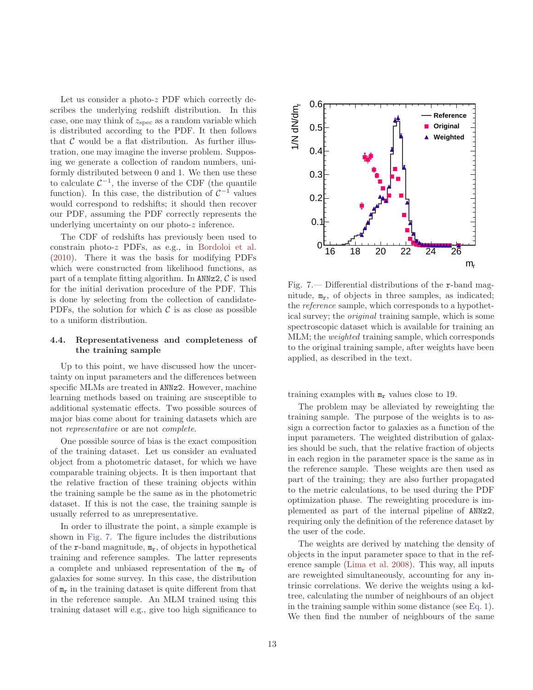Let us consider a photo-z PDF which correctly describes the underlying redshift distribution. In this case, one may think of  $z_{\rm spec}$  as a random variable which is distributed according to the PDF. It then follows that  $\mathcal C$  would be a flat distribution. As further illustration, one may imagine the inverse problem. Supposing we generate a collection of random numbers, uniformly distributed between 0 and 1. We then use these to calculate  $C^{-1}$ , the inverse of the CDF (the quantile function). In this case, the distribution of  $\mathcal{C}^{-1}$  values would correspond to redshifts; it should then recover our PDF, assuming the PDF correctly represents the underlying uncertainty on our photo-z inference.

The CDF of redshifts has previously been used to constrain photo-z PDFs, as e.g., in [Bordoloi et al.](#page-17-34) [\(2010\)](#page-17-34). There it was the basis for modifying PDFs which were constructed from likelihood functions, as part of a template fitting algorithm. In ANNz2,  $\mathcal{C}$  is used for the initial derivation procedure of the PDF. This is done by selecting from the collection of candidate-PDFs, the solution for which  $\mathcal C$  is as close as possible to a uniform distribution.

# <span id="page-12-0"></span>4.4. Representativeness and completeness of the training sample

Up to this point, we have discussed how the uncertainty on input parameters and the differences between specific MLMs are treated in ANNz2. However, machine learning methods based on training are susceptible to additional systematic effects. Two possible sources of major bias come about for training datasets which are not *representative* or are not *complete*.

One possible source of bias is the exact composition of the training dataset. Let us consider an evaluated object from a photometric dataset, for which we have comparable training objects. It is then important that the relative fraction of these training objects within the training sample be the same as in the photometric dataset. If this is not the case, the training sample is usually referred to as unrepresentative.

In order to illustrate the point, a simple example is shown in [Fig. 7.](#page-12-1) The figure includes the distributions of the  $r$ -band magnitude,  $m_r$ , of objects in hypothetical training and reference samples. The latter represents a complete and unbiased representation of the  $m_r$  of galaxies for some survey. In this case, the distribution of  $m_r$  in the training dataset is quite different from that in the reference sample. An MLM trained using this training dataset will e.g., give too high significance to



<span id="page-12-1"></span>Fig. 7.— Differential distributions of the r-band magnitude,  $m_r$ , of objects in three samples, as indicated; the *reference* sample, which corresponds to a hypothetical survey; the *original* training sample, which is some spectroscopic dataset which is available for training an MLM; the *weighted* training sample, which corresponds to the original training sample, after weights have been applied, as described in the text.

training examples with  $m_r$  values close to 19.

The problem may be alleviated by reweighting the training sample. The purpose of the weights is to assign a correction factor to galaxies as a function of the input parameters. The weighted distribution of galaxies should be such, that the relative fraction of objects in each region in the parameter space is the same as in the reference sample. These weights are then used as part of the training; they are also further propagated to the metric calculations, to be used during the PDF optimization phase. The reweighting procedure is implemented as part of the internal pipeline of ANNz2, requiring only the definition of the reference dataset by the user of the code.

The weights are derived by matching the density of objects in the input parameter space to that in the reference sample [\(Lima et al. 2008](#page-17-31)). This way, all inputs are reweighted simultaneously, accounting for any intrinsic correlations. We derive the weights using a kdtree, calculating the number of neighbours of an object in the training sample within some distance (see [Eq. 1\)](#page-8-3). We then find the number of neighbours of the same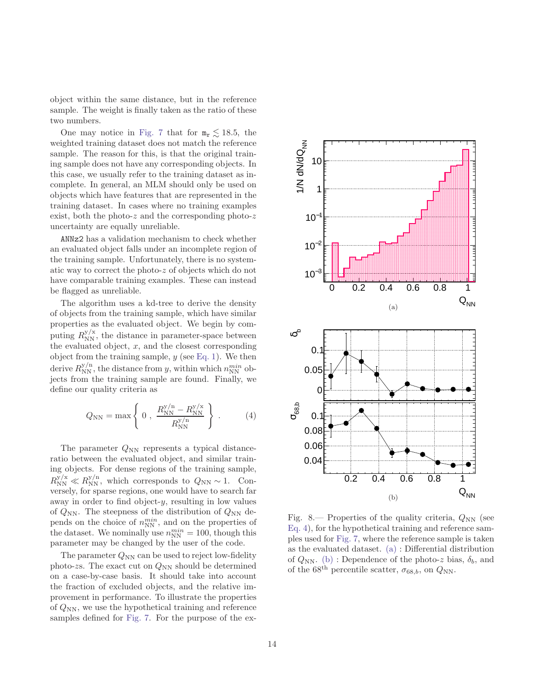object within the same distance, but in the reference sample. The weight is finally taken as the ratio of these two numbers.

One may notice in [Fig. 7](#page-12-1) that for  $m_r \lesssim 18.5$ , the weighted training dataset does not match the reference sample. The reason for this, is that the original training sample does not have any corresponding objects. In this case, we usually refer to the training dataset as incomplete. In general, an MLM should only be used on objects which have features that are represented in the training dataset. In cases where no training examples exist, both the photo-z and the corresponding photo-z uncertainty are equally unreliable.

ANNz2 has a validation mechanism to check whether an evaluated object falls under an incomplete region of the training sample. Unfortunately, there is no systematic way to correct the photo-z of objects which do not have comparable training examples. These can instead be flagged as unreliable.

The algorithm uses a kd-tree to derive the density of objects from the training sample, which have similar properties as the evaluated object. We begin by computing  $R_{NN}^{y/x}$ , the distance in parameter-space between the evaluated object,  $x$ , and the closest corresponding object from the training sample,  $y$  (see [Eq. 1\)](#page-8-3). We then derive  $R_{NN}^{y/n}$ , the distance from y, within which  $n_{NN}^{min}$  objects from the training sample are found. Finally, we define our quality criteria as

<span id="page-13-0"></span>
$$
Q_{\rm NN} = \max \left\{ 0 \; , \; \frac{R_{\rm NN}^{y/n} - R_{\rm NN}^{y/x}}{R_{\rm NN}^{y/n}} \right\} \; . \tag{4}
$$

The parameter  $Q_{NN}$  represents a typical distanceratio between the evaluated object, and similar training objects. For dense regions of the training sample,  $R_{\text{NN}}^{y/x} \ll R_{\text{NN}}^{y/n}$ , which corresponds to  $Q_{\text{NN}} \sim 1$ . Conversely, for sparse regions, one would have to search far away in order to find object-y, resulting in low values of  $Q_{NN}$ . The steepness of the distribution of  $Q_{NN}$  depends on the choice of  $n_{\text{NN}}^{min}$ , and on the properties of the dataset. We nominally use  $n_{NN}^{min} = 100$ , though this parameter may be changed by the user of the code.

The parameter  $Q_{NN}$  can be used to reject low-fidelity photo-zs. The exact cut on  $Q_{NN}$  should be determined on a case-by-case basis. It should take into account the fraction of excluded objects, and the relative improvement in performance. To illustrate the properties of  $Q_{NN}$ , we use the hypothetical training and reference samples defined for [Fig. 7.](#page-12-1) For the purpose of the ex-

<span id="page-13-2"></span><span id="page-13-1"></span>

Fig. 8.— Properties of the quality criteria,  $Q_{NN}$  (see [Eq. 4\)](#page-13-0), for the hypothetical training and reference samples used for [Fig. 7,](#page-12-1) where the reference sample is taken as the evaluated dataset. [\(a\)](#page-13-1) : Differential distribution of  $Q_{NN}$ . [\(b\)](#page-13-2) : Dependence of the photo-z bias,  $\delta_b$ , and of the 68<sup>th</sup> percentile scatter,  $\sigma_{68,b}$ , on  $Q_{NN}$ .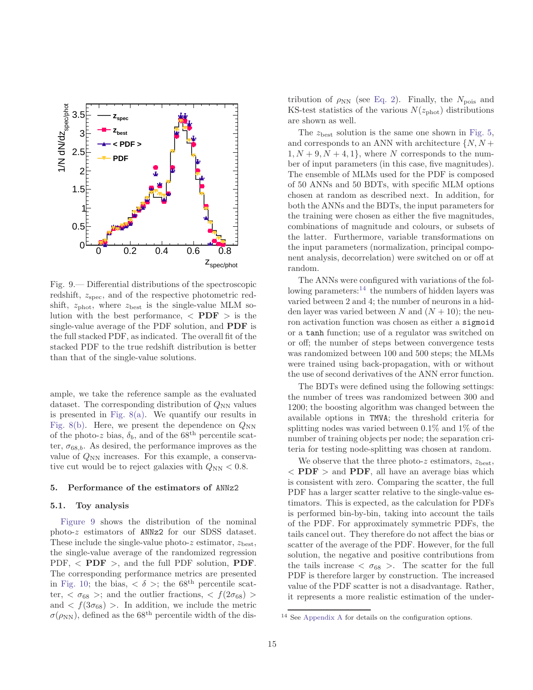

<span id="page-14-0"></span>Fig. 9.— Differential distributions of the spectroscopic redshift,  $z_{\rm spec}$ , and of the respective photometric redshift,  $z_{\text{phot}}$ , where  $z_{\text{best}}$  is the single-value MLM solution with the best performance,  $\langle$  PDF  $\rangle$  is the single-value average of the PDF solution, and PDF is the full stacked PDF, as indicated. The overall fit of the stacked PDF to the true redshift distribution is better than that of the single-value solutions.

ample, we take the reference sample as the evaluated dataset. The corresponding distribution of  $Q_{NN}$  values is presented in Fig.  $8(a)$ . We quantify our results in [Fig. 8\(b\).](#page-13-2) Here, we present the dependence on  $Q_{NN}$ of the photo-z bias,  $\delta_b$ , and of the 68<sup>th</sup> percentile scatter,  $\sigma_{68,b}$ . As desired, the performance improves as the value of  $Q_{NN}$  increases. For this example, a conservative cut would be to reject galaxies with  $Q_{NN} < 0.8$ .

## <span id="page-14-1"></span>5. Performance of the estimators of ANNz2

#### 5.1. Toy analysis

[Figure 9](#page-14-0) shows the distribution of the nominal photo-z estimators of ANNz2 for our SDSS dataset. These include the single-value photo-z estimator,  $z_{best}$ , the single-value average of the randomized regression PDF,  $\langle$  PDF  $\rangle$ , and the full PDF solution, PDF. The corresponding performance metrics are presented in [Fig. 10;](#page-16-10) the bias,  $\langle \delta \rangle$ ; the 68<sup>th</sup> percentile scatter,  $\langle \sigma_{68} \rangle$ ; and the outlier fractions,  $\langle f(2\sigma_{68}) \rangle$ and  $\langle f(3\sigma_{68}) \rangle$ . In addition, we include the metric  $\sigma(\rho_{\rm NN})$ , defined as the 68<sup>th</sup> percentile width of the distribution of  $\rho_{NN}$  (see [Eq. 2\)](#page-9-4). Finally, the  $N_{\text{pois}}$  and KS-test statistics of the various  $N(z_{\text{phot}})$  distributions are shown as well.

The  $z_{\text{best}}$  solution is the same one shown in [Fig. 5,](#page-10-4) and corresponds to an ANN with architecture  $\{N, N + \}$  $1, N + 9, N + 4, 1$ , where N corresponds to the number of input parameters (in this case, five magnitudes). The ensemble of MLMs used for the PDF is composed of 50 ANNs and 50 BDTs, with specific MLM options chosen at random as described next. In addition, for both the ANNs and the BDTs, the input parameters for the training were chosen as either the five magnitudes, combinations of magnitude and colours, or subsets of the latter. Furthermore, variable transformations on the input parameters (normalization, principal component analysis, decorrelation) were switched on or off at random.

The ANNs were configured with variations of the following parameters: $14$  the numbers of hidden layers was varied between 2 and 4; the number of neurons in a hidden layer was varied between N and  $(N + 10)$ ; the neuron activation function was chosen as either a sigmoid or a tanh function; use of a regulator was switched on or off; the number of steps between convergence tests was randomized between 100 and 500 steps; the MLMs were trained using back-propagation, with or without the use of second derivatives of the ANN error function.

The BDTs were defined using the following settings: the number of trees was randomized between 300 and 1200; the boosting algorithm was changed between the available options in TMVA; the threshold criteria for splitting nodes was varied between 0.1% and 1% of the number of training objects per node; the separation criteria for testing node-splitting was chosen at random.

We observe that the three photo-z estimators,  $z_{best}$ ,  $\langle$  PDF  $\rangle$  and PDF, all have an average bias which is consistent with zero. Comparing the scatter, the full PDF has a larger scatter relative to the single-value estimators. This is expected, as the calculation for PDFs is performed bin-by-bin, taking into account the tails of the PDF. For approximately symmetric PDFs, the tails cancel out. They therefore do not affect the bias or scatter of the average of the PDF. However, for the full solution, the negative and positive contributions from the tails increase  $\langle \sigma_{68} \rangle$ . The scatter for the full PDF is therefore larger by construction. The increased value of the PDF scatter is not a disadvantage. Rather, it represents a more realistic estimation of the under-

<sup>14</sup> See [Appendix A](#page-18-0) for details on the configuration options.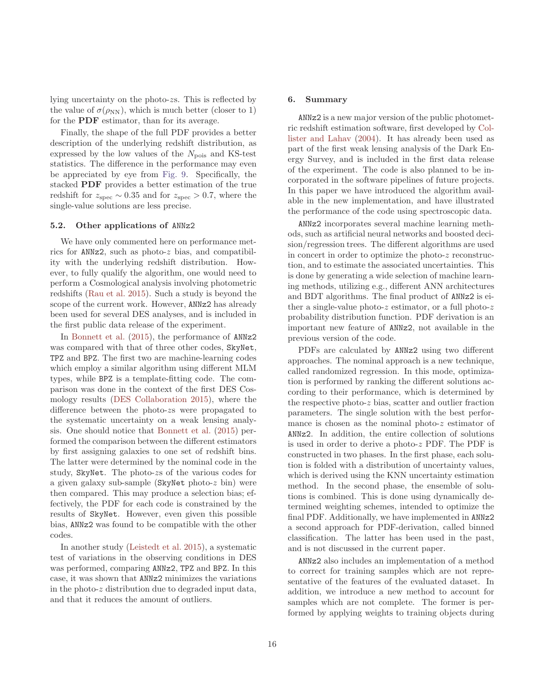lying uncertainty on the photo-zs. This is reflected by the value of  $\sigma(\rho_{NN})$ , which is much better (closer to 1) for the PDF estimator, than for its average.

Finally, the shape of the full PDF provides a better description of the underlying redshift distribution, as expressed by the low values of the  $N_{\text{pois}}$  and KS-test statistics. The difference in the performance may even be appreciated by eye from [Fig. 9.](#page-14-0) Specifically, the stacked PDF provides a better estimation of the true redshift for  $z_{\text{spec}} \sim 0.35$  and for  $z_{\text{spec}} > 0.7$ , where the single-value solutions are less precise.

## 5.2. Other applications of ANNz2

We have only commented here on performance metrics for ANNz2, such as photo-z bias, and compatibility with the underlying redshift distribution. However, to fully qualify the algorithm, one would need to perform a Cosmological analysis involving photometric redshifts [\(Rau et al. 2015](#page-17-24)). Such a study is beyond the scope of the current work. However, ANNz2 has already been used for several DES analyses, and is included in the first public data release of the experiment.

In [Bonnett et al.](#page-16-0) [\(2015](#page-16-0)), the performance of ANNz2 was compared with that of three other codes, SkyNet, TPZ and BPZ. The first two are machine-learning codes which employ a similar algorithm using different MLM types, while BPZ is a template-fitting code. The comparison was done in the context of the first DES Cosmology results [\(DES Collaboration 2015](#page-17-5)), where the difference between the photo-zs were propagated to the systematic uncertainty on a weak lensing analysis. One should notice that [Bonnett et al.](#page-16-0) [\(2015](#page-16-0)) performed the comparison between the different estimators by first assigning galaxies to one set of redshift bins. The latter were determined by the nominal code in the study, SkyNet. The photo-zs of the various codes for a given galaxy sub-sample (SkyNet photo-z bin) were then compared. This may produce a selection bias; effectively, the PDF for each code is constrained by the results of SkyNet. However, even given this possible bias, ANNz2 was found to be compatible with the other codes.

In another study [\(Leistedt et al. 2015\)](#page-17-4), a systematic test of variations in the observing conditions in DES was performed, comparing ANNz2, TPZ and BPZ. In this case, it was shown that ANNz2 minimizes the variations in the photo-z distribution due to degraded input data, and that it reduces the amount of outliers.

# 6. Summary

ANNz2 is a new major version of the public photometric redshift estim[ation software, first developed by](#page-17-0) Collister and Lahav [\(2004\)](#page-17-0). It has already been used as part of the first weak lensing analysis of the Dark Energy Survey, and is included in the first data release of the experiment. The code is also planned to be incorporated in the software pipelines of future projects. In this paper we have introduced the algorithm available in the new implementation, and have illustrated the performance of the code using spectroscopic data.

ANNz2 incorporates several machine learning methods, such as artificial neural networks and boosted decision/regression trees. The different algorithms are used in concert in order to optimize the photo-z reconstruction, and to estimate the associated uncertainties. This is done by generating a wide selection of machine learning methods, utilizing e.g., different ANN architectures and BDT algorithms. The final product of ANNz2 is either a single-value photo- $z$  estimator, or a full photo- $z$ probability distribution function. PDF derivation is an important new feature of ANNz2, not available in the previous version of the code.

PDFs are calculated by ANNz2 using two different approaches. The nominal approach is a new technique, called randomized regression. In this mode, optimization is performed by ranking the different solutions according to their performance, which is determined by the respective photo-z bias, scatter and outlier fraction parameters. The single solution with the best performance is chosen as the nominal photo-z estimator of ANNz2. In addition, the entire collection of solutions is used in order to derive a photo-z PDF. The PDF is constructed in two phases. In the first phase, each solution is folded with a distribution of uncertainty values, which is derived using the KNN uncertainty estimation method. In the second phase, the ensemble of solutions is combined. This is done using dynamically determined weighting schemes, intended to optimize the final PDF. Additionally, we have implemented in ANNz2 a second approach for PDF-derivation, called binned classification. The latter has been used in the past, and is not discussed in the current paper.

ANNz2 also includes an implementation of a method to correct for training samples which are not representative of the features of the evaluated dataset. In addition, we introduce a new method to account for samples which are not complete. The former is performed by applying weights to training objects during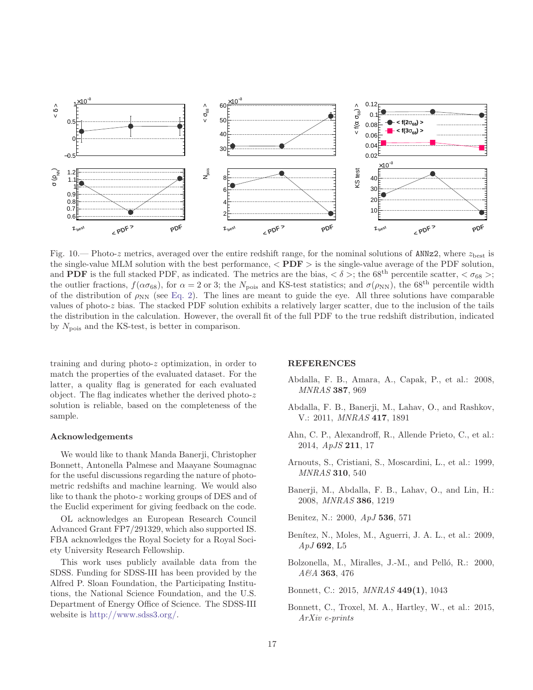

<span id="page-16-10"></span>Fig.  $10$ . Photo-z metrics, averaged over the entire redshift range, for the nominal solutions of ANNz2, where  $z_{best}$  is the single-value MLM solution with the best performance,  $\langle PDF \rangle$  is the single-value average of the PDF solution, and **PDF** is the full stacked PDF, as indicated. The metrics are the bias,  $\langle \delta \rangle$ ; the 68<sup>th</sup> percentile scatter,  $\langle \sigma_{68} \rangle$ ; the outlier fractions,  $f(\alpha \sigma_{68})$ , for  $\alpha = 2$  or 3; the N<sub>pois</sub> and KS-test statistics; and  $\sigma(\rho_{NN})$ , the 68<sup>th</sup> percentile width of the distribution of  $\rho_{NN}$  (see [Eq. 2\)](#page-9-4). The lines are meant to guide the eye. All three solutions have comparable values of photo-z bias. The stacked PDF solution exhibits a relatively larger scatter, due to the inclusion of the tails the distribution in the calculation. However, the overall fit of the full PDF to the true redshift distribution, indicated by  $N_{\text{pois}}$  and the KS-test, is better in comparison.

training and during photo-z optimization, in order to match the properties of the evaluated dataset. For the latter, a quality flag is generated for each evaluated object. The flag indicates whether the derived photo-z solution is reliable, based on the completeness of the sample.

## Acknowledgements

We would like to thank Manda Banerji, Christopher Bonnett, Antonella Palmese and Maayane Soumagnac for the useful discussions regarding the nature of photometric redshifts and machine learning. We would also like to thank the photo-z working groups of DES and of the Euclid experiment for giving feedback on the code.

OL acknowledges an European Research Council Advanced Grant FP7/291329, which also supported IS. FBA acknowledges the Royal Society for a Royal Society University Research Fellowship.

This work uses publicly available data from the SDSS. Funding for SDSS-III has been provided by the Alfred P. Sloan Foundation, the Participating Institutions, the National Science Foundation, and the U.S. Department of Energy Office of Science. The SDSS-III website is [http://www.sdss3.org/.](http://www.sdss3.org/)

#### REFERENCES

- <span id="page-16-5"></span>Abdalla, F. B., Amara, A., Capak, P., et al.: 2008, *MNRAS* 387, 969
- <span id="page-16-1"></span>Abdalla, F. B., Banerji, M., Lahav, O., and Rashkov, V.: 2011, *MNRAS* 417, 1891
- <span id="page-16-9"></span>Ahn, C. P., Alexandroff, R., Allende Prieto, C., et al.: 2014, *ApJS* 211, 17
- <span id="page-16-7"></span>Arnouts, S., Cristiani, S., Moscardini, L., et al.: 1999, *MNRAS* 310, 540
- <span id="page-16-6"></span>Banerji, M., Abdalla, F. B., Lahav, O., and Lin, H.: 2008, *MNRAS* 386, 1219
- <span id="page-16-4"></span>Benitez, N.: 2000, *ApJ* 536, 571
- <span id="page-16-2"></span>Benítez, N., Moles, M., Aguerri, J. A. L., et al.: 2009, *ApJ* 692, L5
- <span id="page-16-3"></span>Bolzonella, M., Miralles, J.-M., and Pelló, R.: 2000, *A&A* 363, 476

<span id="page-16-8"></span>Bonnett, C.: 2015, *MNRAS* 449(1), 1043

<span id="page-16-0"></span>Bonnett, C., Troxel, M. A., Hartley, W., et al.: 2015, *ArXiv e-prints*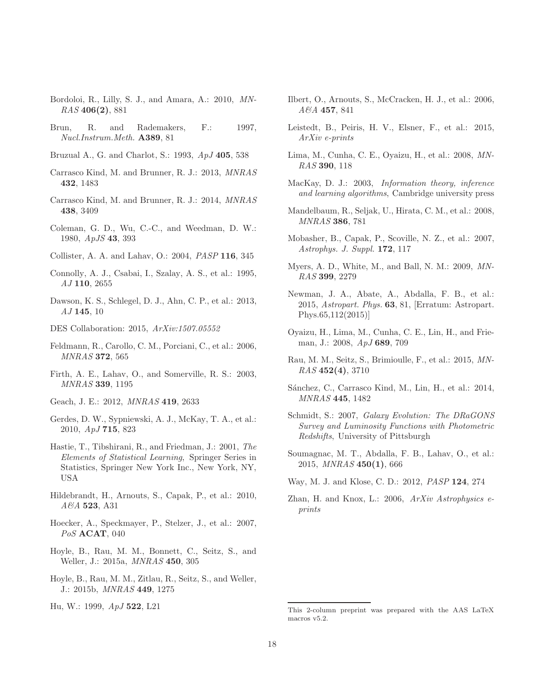- <span id="page-17-34"></span>Bordoloi, R., Lilly, S. J., and Amara, A.: 2010, *MN-RAS* 406(2), 881
- <span id="page-17-26"></span>Brun, R. and Rademakers, F.: 1997, *Nucl.Instrum.Meth.* A389, 81
- <span id="page-17-12"></span>Bruzual A., G. and Charlot, S.: 1993, *ApJ* 405, 538
- <span id="page-17-23"></span>Carrasco Kind, M. and Brunner, R. J.: 2013, *MNRAS* 432, 1483
- <span id="page-17-17"></span>Carrasco Kind, M. and Brunner, R. J.: 2014, *MNRAS* 438, 3409
- <span id="page-17-11"></span>Coleman, G. D., Wu, C.-C., and Weedman, D. W.: 1980, *ApJS* 43, 393
- <span id="page-17-0"></span>Collister, A. A. and Lahav, O.: 2004, *PASP* 116, 345
- <span id="page-17-13"></span>Connolly, A. J., Csabai, I., Szalay, A. S., et al.: 1995, *AJ* 110, 2655
- <span id="page-17-29"></span>Dawson, K. S., Schlegel, D. J., Ahn, C. P., et al.: 2013, *AJ* 145, 10
- <span id="page-17-5"></span>DES Collaboration: 2015, *ArXiv:1507.05552*
- <span id="page-17-21"></span>Feldmann, R., Carollo, C. M., Porciani, C., et al.: 2006, *MNRAS* 372, 565
- <span id="page-17-14"></span>Firth, A. E., Lahav, O., and Somerville, R. S.: 2003, *MNRAS* 339, 1195
- <span id="page-17-15"></span>Geach, J. E.: 2012, *MNRAS* 419, 2633
- <span id="page-17-22"></span>Gerdes, D. W., Sypniewski, A. J., McKay, T. A., et al.: 2010, *ApJ* 715, 823
- <span id="page-17-28"></span>Hastie, T., Tibshirani, R., and Friedman, J.: 2001, *The Elements of Statistical Learning*, Springer Series in Statistics, Springer New York Inc., New York, NY, USA
- <span id="page-17-8"></span>Hildebrandt, H., Arnouts, S., Capak, P., et al.: 2010, *A&A* 523, A31
- <span id="page-17-25"></span>Hoecker, A., Speckmayer, P., Stelzer, J., et al.: 2007, *PoS* ACAT, 040
- <span id="page-17-18"></span>Hoyle, B., Rau, M. M., Bonnett, C., Seitz, S., and Weller, J.: 2015a, *MNRAS* 450, 305
- <span id="page-17-32"></span>Hoyle, B., Rau, M. M., Zitlau, R., Seitz, S., and Weller, J.: 2015b, *MNRAS* 449, 1275
- <span id="page-17-1"></span>Hu, W.: 1999, *ApJ* 522, L21
- <span id="page-17-20"></span>Ilbert, O., Arnouts, S., McCracken, H. J., et al.: 2006, *A&A* 457, 841
- <span id="page-17-4"></span>Leistedt, B., Peiris, H. V., Elsner, F., et al.: 2015, *ArXiv e-prints*
- <span id="page-17-31"></span>Lima, M., Cunha, C. E., Oyaizu, H., et al.: 2008, *MN-RAS* 390, 118
- <span id="page-17-27"></span>MacKay, D. J.: 2003, *Information theory, inference and learning algorithms*, Cambridge university press
- <span id="page-17-6"></span>Mandelbaum, R., Seljak, U., Hirata, C. M., et al.: 2008, *MNRAS* 386, 781
- <span id="page-17-10"></span>Mobasher, B., Capak, P., Scoville, N. Z., et al.: 2007, *Astrophys. J. Suppl.* 172, 117
- <span id="page-17-7"></span>Myers, A. D., White, M., and Ball, N. M.: 2009, *MN-RAS* 399, 2279
- <span id="page-17-9"></span>Newman, J. A., Abate, A., Abdalla, F. B., et al.: 2015, *Astropart. Phys.* 63, 81, [Erratum: Astropart. Phys.65,112(2015)]
- <span id="page-17-19"></span>Oyaizu, H., Lima, M., Cunha, C. E., Lin, H., and Frieman, J.: 2008, *ApJ* 689, 709
- <span id="page-17-24"></span>Rau, M. M., Seitz, S., Brimioulle, F., et al.: 2015, *MN-RAS* 452(4), 3710
- <span id="page-17-3"></span>Sánchez, C., Carrasco Kind, M., Lin, H., et al.: 2014, *MNRAS* 445, 1482
- <span id="page-17-30"></span>Schmidt, S.: 2007, *Galaxy Evolution: The DRaGONS Survey and Luminosity Functions with Photometric Redshifts*, University of Pittsburgh
- <span id="page-17-33"></span>Soumagnac, M. T., Abdalla, F. B., Lahav, O., et al.: 2015, *MNRAS* 450(1), 666
- <span id="page-17-16"></span>Way, M. J. and Klose, C. D.: 2012, *PASP* 124, 274
- <span id="page-17-2"></span>Zhan, H. and Knox, L.: 2006, *ArXiv Astrophysics eprints*

<span id="page-17-35"></span>This 2-column preprint was prepared with the AAS LaTeX macros v5.2.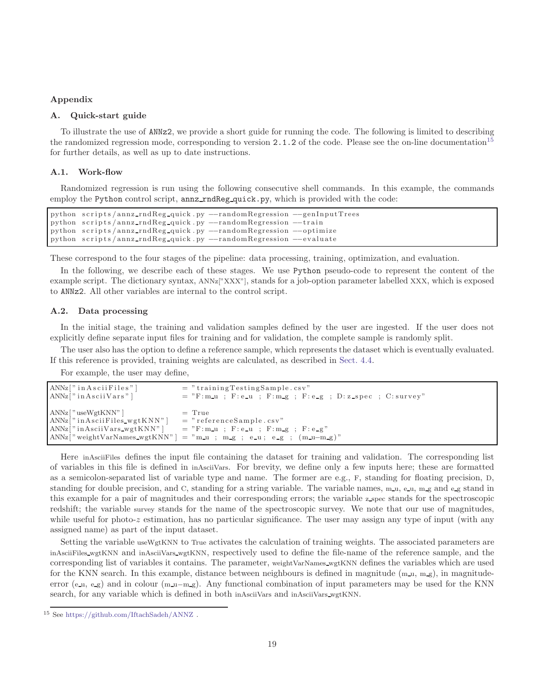# <span id="page-18-0"></span>Appendix

# A. Quick-start guide

To illustrate the use of ANNz2, we provide a short guide for running the code. The following is limited to describing the randomized regression mode, corresponding to version 2.1.2 of the code. Please see the on-line documentation<sup>[15](#page-18-1)</sup> for further details, as well as up to date instructions.

## A.1. Work-flow

Randomized regression is run using the following consecutive shell commands. In this example, the commands employ the Python control script, annz rndReg quick.py, which is provided with the code:

```
python scripts/annz_rndReg_quick .py --randomRegression --genInputTrees
python scripts/annz_rndReg_quick .py --randomRegression --train
python scripts/annz_rndReg_quick .py --randomRegression --optimize
python scripts/annz_rndReg_quick .py --randomRegression --evaluate
```
These correspond to the four stages of the pipeline: data processing, training, optimization, and evaluation.

In the following, we describe each of these stages. We use Python pseudo-code to represent the content of the example script. The dictionary syntax, ANNz["XXX"], stands for a job-option parameter labelled XXX, which is exposed to ANNz2. All other variables are internal to the control script.

# A.2. Data processing

In the initial stage, the training and validation samples defined by the user are ingested. If the user does not explicitly define separate input files for training and for validation, the complete sample is randomly split.

The user also has the option to define a reference sample, which represents the dataset which is eventually evaluated. If this reference is provided, training weights are calculated, as described in [Sect. 4.4.](#page-12-0)

For example, the user may define,

| $ANNz[$ " in $A sciiFiles$ "]              | $=$ "training Testing Sample.csv"                                             |
|--------------------------------------------|-------------------------------------------------------------------------------|
| ANNz['" in Asciivars"                      | $y = r$ $F: m_u$ ; $F: e_u$ ; $F: m_g$ ; $F: e_g$ ; $D: z$ $\neq$ $C: survey$ |
|                                            |                                                                               |
| $ANNz$   "useWgt $KNN$ "                   | $=$ True                                                                      |
| $ANNz['i nAsciiFiles_wgtKNN"]$             | $=$ "referenceSample.csv"                                                     |
| $ANNz[" in Asciivars_wgtKNN"$              | $=$ "F:m_u ; F:e_u ; F:m_g ; F:e_g"                                           |
| ANNz <sup>["</sup> weightVarNames_wgtKNN"] | $=$ "m_u ; m_g ; e_u; e_g ; $(m_u-m_g)$ "                                     |

Here inAsciiFiles defines the input file containing the dataset for training and validation. The corresponding list of variables in this file is defined in inAsciiVars. For brevity, we define only a few inputs here; these are formatted as a semicolon-separated list of variable type and name. The former are e.g., F, standing for floating precision, D, standing for double precision, and C, standing for a string variable. The variable names,  $m.u$ ,  $e.u$ ,  $m.g$  and  $e.g$  stand in this example for a pair of magnitudes and their corresponding errors; the variable z spec stands for the spectroscopic redshift; the variable survey stands for the name of the spectroscopic survey. We note that our use of magnitudes, while useful for photo-z estimation, has no particular significance. The user may assign any type of input (with any assigned name) as part of the input dataset.

Setting the variable useWgtKNN to True activates the calculation of training weights. The associated parameters are inAsciiFiles wgtKNN and inAsciiVars wgtKNN, respectively used to define the file-name of the reference sample, and the corresponding list of variables it contains. The parameter, weightVarNames wgtKNN defines the variables which are used for the KNN search. In this example, distance between neighbours is defined in magnitude  $(m_u, m_g)$ , in magnitudeerror (e\_u, e\_g) and in colour  $(m_u - m_g)$ . Any functional combination of input parameters may be used for the KNN search, for any variable which is defined in both inAsciiVars and inAsciiVars wgtKNN.

<span id="page-18-1"></span><sup>15</sup> See <https://github.com/IftachSadeh/ANNZ> .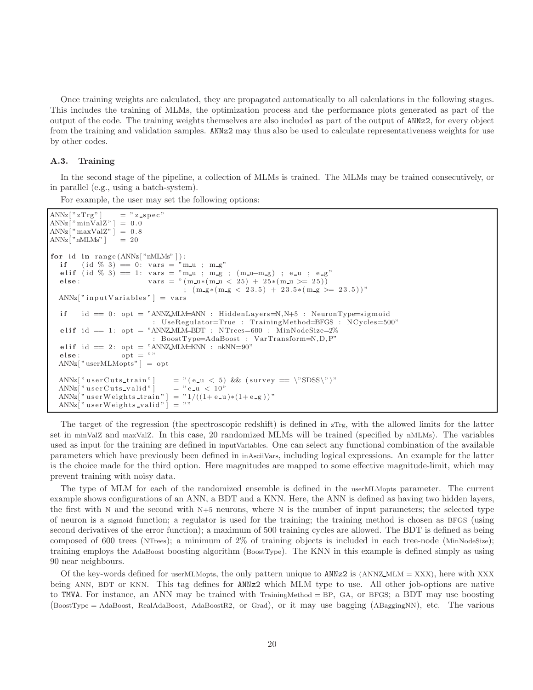Once training weights are calculated, they are propagated automatically to all calculations in the following stages. This includes the training of MLMs, the optimization process and the performance plots generated as part of the output of the code. The training weights themselves are also included as part of the output of ANNz2, for every object from the training and validation samples. ANNz2 may thus also be used to calculate representativeness weights for use by other codes.

## A.3. Training

In the second stage of the pipeline, a collection of MLMs is trained. The MLMs may be trained consecutively, or in parallel (e.g., using a batch-system).

For example, the user may set the following options:

```
ANNz['zTrg"] = " z_spec"
ANNz[" minValZ"] = 0.0
ANNz\lceil" maxValZ" \rceil = 0.8
ANNz["nMLMs" ] = 20for id in range (ANNz['nMLMs" ] ):
  if ( id \% 3) = 0: vars = "m_u ; m_g"
  elif (id % 3) = 1: vars = "m_u ; m_g ; (m_u-m_g) ; e_u ; e_g"
  else: vars = " (m_u*(m_u < 25) + 25*(m_u >= 25))
                                      ; (m-g*(m-g < 23.5) + 23.5*(m-g > = 23.5))"
  ANNz[" in put Variables" ] = vars
  if \quad id = 0: opt = "ANNZMLM=ANN : HiddenLayers=N,N+5 : NeuronType=sigmoid
                             : UseRegulator=True : TrainingMethod=BFGS : NCycles=500"
   elif id = 1: opt = "ANNZMLM=BDT : NTrees=600 : MinNodeSize=2%
                             : BoostType=AdaBoost : VarTransform=N,D, P"
  elif id = 2: opt = "ANNZMLM=KNN : nkNN=90"
  else: \overline{\text{opt}} = \text{""}ANNz['userMLMopts"] = optANNz[" user Cuts_train"] = "(e_u < 5) && (survey == \"SDSS\")"<br>ANNz[" user Cuts_valid"] = "e_u < 10"
  \text{ANNz}[' \text{ userCuts-valid}"] = " \text{e.u} < 10"<br>\text{ANNz}[' \text{ userWeights-train}"] = "1/((1 + \text{e.u}) * (1 + \text{e-g})))"ANNz[" user Weights_train" ] = "1<br>ANNz[" user Weights_valid" ] = " "ANNz<sup>"</sup> user Weights_valid" |
```
The target of the regression (the spectroscopic redshift) is defined in zTrg, with the allowed limits for the latter set in minValZ and maxValZ. In this case, 20 randomized MLMs will be trained (specified by nMLMs). The variables used as input for the training are defined in inputVariables. One can select any functional combination of the available parameters which have previously been defined in inAsciiVars, including logical expressions. An example for the latter is the choice made for the third option. Here magnitudes are mapped to some effective magnitude-limit, which may prevent training with noisy data.

The type of MLM for each of the randomized ensemble is defined in the userMLMopts parameter. The current example shows configurations of an ANN, a BDT and a KNN. Here, the ANN is defined as having two hidden layers, the first with N and the second with N+5 neurons, where N is the number of input parameters; the selected type of neuron is a sigmoid function; a regulator is used for the training; the training method is chosen as BFGS (using second derivatives of the error function); a maximum of 500 training cycles are allowed. The BDT is defined as being composed of 600 trees (NTrees); a minimum of 2% of training objects is included in each tree-node (MinNodeSize); training employs the AdaBoost boosting algorithm (BoostType). The KNN in this example is defined simply as using 90 near neighbours.

Of the key-words defined for userMLMopts, the only pattern unique to ANNz2 is (ANNZ MLM = XXX), here with XXX being ANN, BDT or KNN. This tag defines for ANNz2 which MLM type to use. All other job-options are native to TMVA. For instance, an ANN may be trained with TrainingMethod = BP, GA, or BFGS; a BDT may use boosting (BoostType = AdaBoost, RealAdaBoost, AdaBoostR2, or Grad), or it may use bagging (ABaggingNN), etc. The various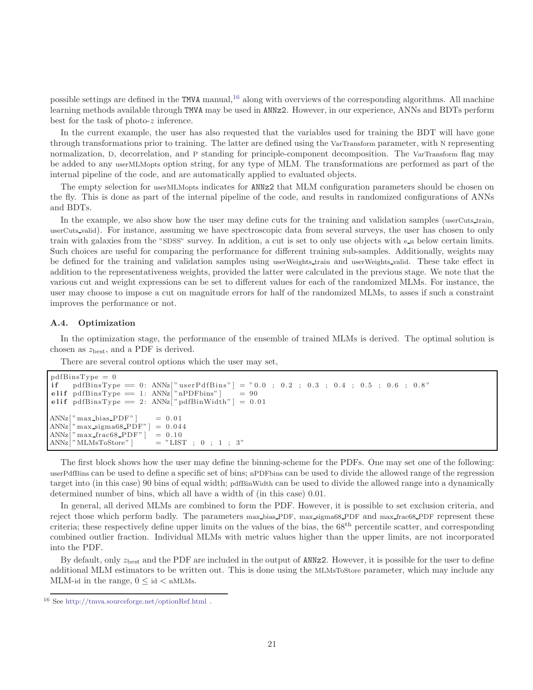possible settings are defined in the TMVA manual, $^{16}$  $^{16}$  $^{16}$  along with overviews of the corresponding algorithms. All machine learning methods available through TMVA may be used in ANNz2. However, in our experience, ANNs and BDTs perform best for the task of photo-z inference.

In the current example, the user has also requested that the variables used for training the BDT will have gone through transformations prior to training. The latter are defined using the VarTransform parameter, with N representing normalization, D, decorrelation, and P standing for principle-component decomposition. The VarTransform flag may be added to any userMLMopts option string, for any type of MLM. The transformations are performed as part of the internal pipeline of the code, and are automatically applied to evaluated objects.

The empty selection for userMLMopts indicates for ANNz2 that MLM configuration parameters should be chosen on the fly. This is done as part of the internal pipeline of the code, and results in randomized configurations of ANNs and BDTs.

In the example, we also show how the user may define cuts for the training and validation samples (userCuts train, userCuts valid). For instance, assuming we have spectroscopic data from several surveys, the user has chosen to only train with galaxies from the "SDSS" survey. In addition, a cut is set to only use objects with e u below certain limits. Such choices are useful for comparing the performance for different training sub-samples. Additionally, weights may be defined for the training and validation samples using userWeights train and userWeights valid. These take effect in addition to the representativeness weights, provided the latter were calculated in the previous stage. We note that the various cut and weight expressions can be set to different values for each of the randomized MLMs. For instance, the user may choose to impose a cut on magnitude errors for half of the randomized MLMs, to asses if such a constraint improves the performance or not.

#### A.4. Optimization

In the optimization stage, the performance of the ensemble of trained MLMs is derived. The optimal solution is chosen as  $z_{best}$ , and a PDF is derived.

There are several control options which the user may set,

```
pdfBinsType = 0if pdfBinsType == 0: ANNz["userPdfBins"] = "0.0; 0.2; 0.3; 0.4; 0.5; 0.6; 0.8"
elif pdfBinsType = 1: ANNz["nPDFbins"] = 90elif pdfBinsType = 2: ANNz<sup>["</sup> pdfBinWidth" ] = 0.01ANNz['max\_bias_PDF"] = 0.01ANNz\left[" max_sigma68_PDF" \right] = 0.044
ANNz[" max_frac68_PDF" ] = 0.10\text{ANNz} \vert \text{ "MLMsToStore"} \vert \text{ = "LIST ; 0 ; 1 ; 3" }
```
The first block shows how the user may define the binning-scheme for the PDFs. One may set one of the following: userPdfBins can be used to define a specific set of bins; nPDFbins can be used to divide the allowed range of the regression target into (in this case) 90 bins of equal width; pdfBinWidth can be used to divide the allowed range into a dynamically determined number of bins, which all have a width of (in this case) 0.01.

In general, all derived MLMs are combined to form the PDF. However, it is possible to set exclusion criteria, and reject those which perform badly. The parameters max bias PDF, max sigma68 PDF and max frac68 PDF represent these criteria; these respectively define upper limits on the values of the bias, the  $68<sup>th</sup>$  percentile scatter, and corresponding combined outlier fraction. Individual MLMs with metric values higher than the upper limits, are not incorporated into the PDF.

By default, only  $z_{\text{best}}$  and the PDF are included in the output of ANNz2. However, it is possible for the user to define additional MLM estimators to be written out. This is done using the MLMsToStore parameter, which may include any MLM-id in the range,  $0 \leq id \leq n$ MLMs.

<span id="page-20-0"></span><sup>16</sup> See <http://tmva.sourceforge.net/optionRef.html> .